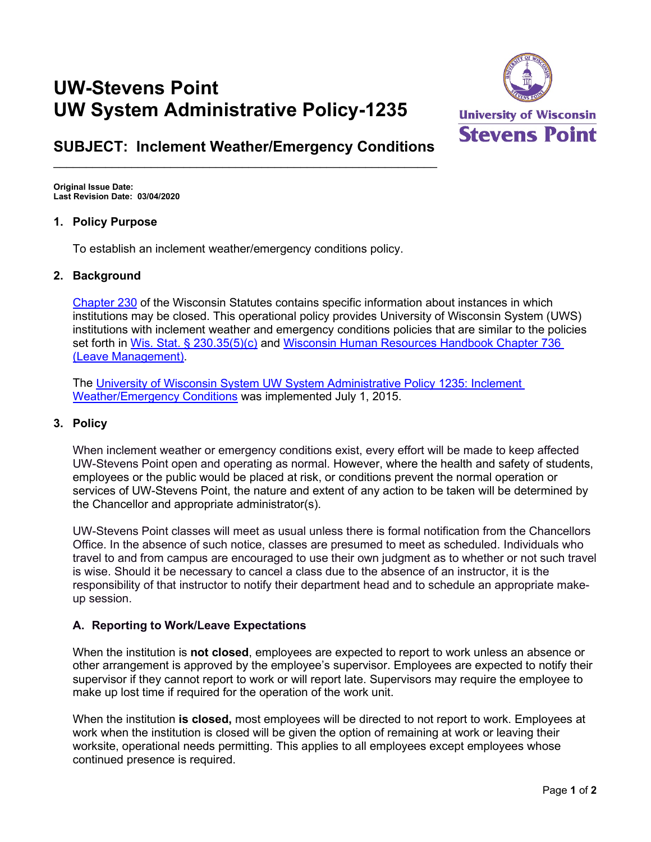# **UW-Stevens Point UW System Administrative Policy-1235**



# **SUBJECT: Inclement Weather/Emergency Conditions**  $\_$  , and the set of the set of the set of the set of the set of the set of the set of the set of the set of the set of the set of the set of the set of the set of the set of the set of the set of the set of the set of th

**Original Issue Date: Last Revision Date: 03/04/2020**

#### **1. Policy Purpose**

To establish an inclement weather/emergency conditions policy.

#### **2. Background**

[Chapter 230](http://docs.legis.wisconsin.gov/statutes/statutes/230) of the Wisconsin Statutes contains specific information about instances in which institutions may be closed. This operational policy provides University of Wisconsin System (UWS) institutions with inclement weather and emergency conditions policies that are similar to the policies set forth in [Wis. Stat. § 230.35\(5\)\(c\)](http://docs.legis.wisconsin.gov/statutes/statutes/230/II/35/5/c) and [Wisconsin Human Resources Handbook Chapter 736](https://dpm.wi.gov/Pages/HR_Admin/WisconsinHrHandbook.aspx) (Leave Management).

The University of Wisconsin System [UW System Administrative Policy](https://www.wisconsin.edu/ohrwd/download/policies/ops/gen15.pdf) 1235: Inclement [Weather/Emergency Conditions](https://www.wisconsin.edu/ohrwd/download/policies/ops/gen15.pdf) was implemented July 1, 2015.

#### **3. Policy**

When inclement weather or emergency conditions exist, every effort will be made to keep affected UW-Stevens Point open and operating as normal. However, where the health and safety of students, employees or the public would be placed at risk, or conditions prevent the normal operation or services of UW-Stevens Point, the nature and extent of any action to be taken will be determined by the Chancellor and appropriate administrator(s).

UW-Stevens Point classes will meet as usual unless there is formal notification from the Chancellors Office. In the absence of such notice, classes are presumed to meet as scheduled. Individuals who travel to and from campus are encouraged to use their own judgment as to whether or not such travel is wise. Should it be necessary to cancel a class due to the absence of an instructor, it is the responsibility of that instructor to notify their department head and to schedule an appropriate makeup session.

## **A. Reporting to Work/Leave Expectations**

When the institution is **not closed**, employees are expected to report to work unless an absence or other arrangement is approved by the employee's supervisor. Employees are expected to notify their supervisor if they cannot report to work or will report late. Supervisors may require the employee to make up lost time if required for the operation of the work unit.

When the institution **is closed,** most employees will be directed to not report to work. Employees at work when the institution is closed will be given the option of remaining at work or leaving their worksite, operational needs permitting. This applies to all employees except employees whose continued presence is required.